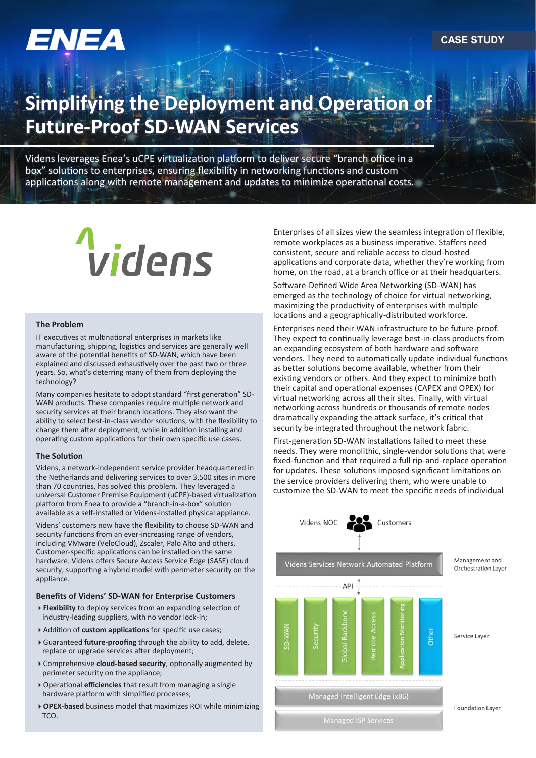# **Simplifying the Deployment and Operation of Future-Proof SD-WAN Services**

Videns leverages Enea's uCPE virtualization platform to deliver secure "branch office in a box" solutions to enterprises, ensuring flexibility in networking functions and custom applications along with remote management and updates to minimize operational costs.

# videns

#### **The Problem**

IT executives at multinational enterprises in markets like manufacturing, shipping, logistics and services are generally well aware of the potential benefits of SD-WAN, which have been explained and discussed exhaustively over the past two or three years. So, what's deterring many of them from deploying the technology?

Many companies hesitate to adopt standard "first generation" SD-WAN products. These companies require multiple network and security services at their branch locations. They also want the ability to select best-in-class vendor solutions, with the flexibility to change them after deployment, while in addition installing and operating custom applications for their own specific use cases.

#### **The Solution**

Videns, a network-independent service provider headquartered in the Netherlands and delivering services to over 3,500 sites in more than 70 countries, has solved this problem. They leveraged a universal Customer Premise Equipment (uCPE)-based virtualization platform from Enea to provide a "branch-in-a-box" solution available as a self-installed or Videns-installed physical appliance.

Videns' customers now have the flexibility to choose SD-WAN and security functions from an ever-increasing range of vendors, including VMware (VeloCloud), Zscaler, Palo Alto and others. Customer-specific applications can be installed on the same hardware. Videns offers Secure Access Service Edge (SASE) cloud security, supporting a hybrid model with perimeter security on the appliance.

#### **Benefits of Videns' SD-WAN for Enterprise Customers**

- **Flexibility** to deploy services from an expanding selection of industry-leading suppliers, with no vendor lock-in;
- Addition of **custom applications** for specific use cases;
- Guaranteed **future-proofing** through the ability to add, delete, replace or upgrade services after deployment;
- Comprehensive **cloud-based security**, optionally augmented by perimeter security on the appliance;
- Operational **efficiencies** that result from managing a single hardware platform with simplified processes;
- **OPEX-based** business model that maximizes ROI while minimizing TCO.

Enterprises of all sizes view the seamless integration of flexible, remote workplaces as a business imperative. Staffers need consistent, secure and reliable access to cloud-hosted applications and corporate data, whether they're working from home, on the road, at a branch office or at their headquarters.

Software-Defined Wide Area Networking (SD-WAN) has emerged as the technology of choice for virtual networking, maximizing the productivity of enterprises with multiple locations and a geographically-distributed workforce.

Enterprises need their WAN infrastructure to be future-proof. They expect to continually leverage best-in-class products from an expanding ecosystem of both hardware and software vendors. They need to automatically update individual functions as better solutions become available, whether from their existing vendors or others. And they expect to minimize both their capital and operational expenses (CAPEX and OPEX) for virtual networking across all their sites. Finally, with virtual networking across hundreds or thousands of remote nodes dramatically expanding the attack surface, it's critical that security be integrated throughout the network fabric.

First-generation SD-WAN installations failed to meet these needs. They were monolithic, single-vendor solutions that were fixed-function and that required a full rip-and-replace operation for updates. These solutions imposed significant limitations on the service providers delivering them, who were unable to customize the SD-WAN to meet the specific needs of individual



Videns Services Network Automated Platform

API

security

ė

Management and Orchestration Layer



Other

Managed Intelligent Edge (x86)

emote Acce

**Foundation Laver**